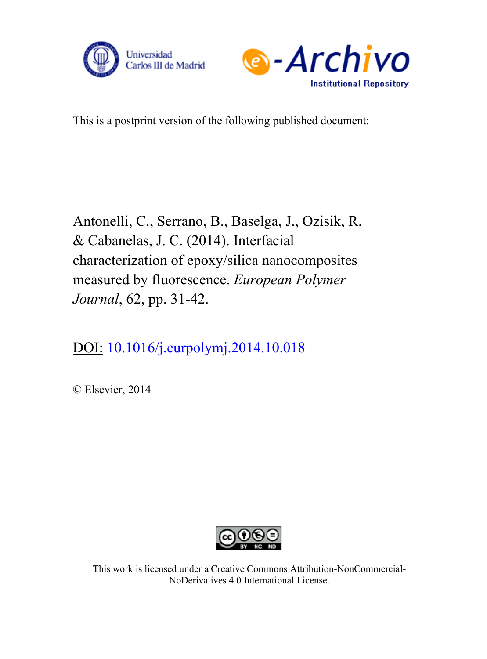



This is a postprint version of the following published document:

Antonelli, C., Serrano, B., Baselga, J., Ozisik, R. & Cabanelas, J. C. (2014). Interfacial characterization of epoxy/silica nanocomposites measured by fluorescence. *European Polymer Journal*, 62, pp. 31-42.

DOI: [10.1016/j.eurpolymj.2014.10.018](https://doi.org/10.1016/j.eurpolymj.2014.10.018)

© Elsevier, 2014



This work is licensed under a Creative Commons Attribution-NonCommercial-NoDerivatives 4.0 International License.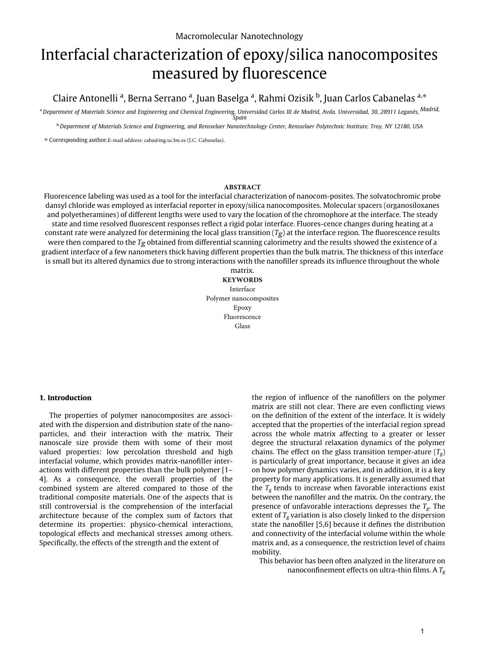# Interfacial characterization of epoxy/silica nanocomposites measured by fluorescence

Claire Antonelli <sup>a</sup>, Berna Serrano <sup>a</sup>, Juan Baselga <sup>a</sup>, Rahmi Ozisik <sup>b</sup>, Juan Carlos Cabanelas <sup>a,</sup>\*

<sup>a</sup> Department of Materials Science and Engineering and Chemical Engineering, Universidad Carlos III de Madrid, Avda. Universidad, 30, 28911 Leganés, <sup>Madrid,</sup><br>Spain

<sup>b</sup> Department of Materials Science and Engineering, and Rensselaer Nanotechnology Center, Rensselaer Polytechnic Institute, Troy, NY 12180, USA

⇑ Corresponding author.E-mail address: caba@ing.uc3m.es (J.C. Cabanelas).

## **ABSTRACT**

Fluorescence labeling was used as a tool for the interfacial characterization of nanocom-posites. The solvatochromic probe dansyl chloride was employed as interfacial reporter in epoxy/silica nanocomposites. Molecular spacers (organosiloxanes and polyetheramines) of different lengths were used to vary the location of the chromophore at the interface. The steady state and time resolved fluorescent responses reflect a rigid polar interface. Fluores-cence changes during heating at a constant rate were analyzed for determining the local glass transition  $(T_g)$  at the interface region. The fluorescence results were then compared to the  $T_g$  obtained from differential scanning calorimetry and the results showed the existence of a gradient interface of a few nanometers thick having different properties than the bulk matrix. The thickness of this interface is small but its altered dynamics due to strong interactions with the nanofiller spreads its influence throughout the whole

#### matrix.

**KEYWORDS** Interface Polymer nanocomposites Epoxy Fluorescence Glass

# 1. Introduction

The properties of polymer nanocomposites are associated with the dispersion and distribution state of the nanoparticles, and their interaction with the matrix. Their nanoscale size provide them with some of their most valued properties: low percolation threshold and high interfacial volume, which provides matrix-nanofiller interactions with different properties than the bulk polymer [1– [4\].](#page-11-0) As a consequence, the overall properties of the combined system are altered compared to those of the traditional composite materials. One of the aspects that is still controversial is the comprehension of the interfacial architecture because of the complex sum of factors that determine its properties: physico-chemical interactions, topological effects and mechanical stresses among others. Specifically, the effects of the strength and the extent of

the region of influence of the nanofillers on the polymer matrix are still not clear. There are even conflicting views on the definition of the extent of the interface. It is widely accepted that the properties of the interfacial region spread across the whole matrix affecting to a greater or lesser degree the structural relaxation dynamics of the polymer chains. The effect on the glass transition temper-ature  $(T_g)$ is particularly of great importance, because it gives an idea on how polymer dynamics varies, and in addition, it is a key property for many applications. It is generally assumed that the  $T_g$  tends to increase when favorable interactions exist between the nanofiller and the matrix. On the contrary, the presence of unfavorable interactions depresses the  $T_g$ . The extent of  $T_g$  variation is also closely linked to the dispersion state the nanofiller [5,6] because it defines the distribution [and](#page-11-0) connectivity of the interfacial volume within the whole matrix and, as a consequence, the restriction level of chains mobility.

This behavior has been often analyzed in the literature on nanoconfinement effects on ultra-thin films. A  $T_g$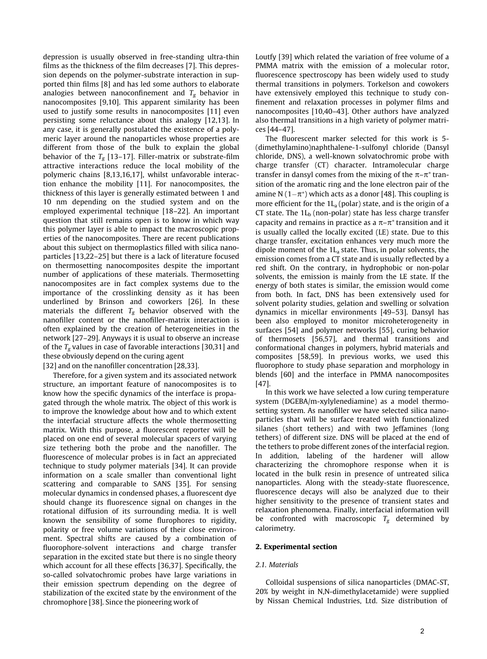depression is usually observed in free-standing ultra-thin films as the thickness of the film decreases [\[7](#page-11-0)]. This depression depends on the polymer-substrate interaction in supported thin films [\[8\]](#page-11-0) and has led some authors to elaborate analogies between nanoconfinement and  $T_g$  behavior in nanocomposites [\[9,10\]](#page-11-0). This apparent similarity has been used to justify some results in nanocomposites [\[11](#page-11-0)] even persisting some reluctance about this analogy [\[12,13](#page-11-0)]. In any case, it is generally postulated the existence of a polymeric layer around the nanoparticles whose properties are different from those of the bulk to explain the global behavior of the  $T_g$  [\[13–17\]](#page-11-0). Filler-matrix or substrate-film attractive interactions reduce the local mobility of the polymeric chains [\[8,13,16,17\]](#page-11-0), whilst unfavorable interaction enhance the mobility [\[11](#page-11-0)]. For nanocomposites, the thickness of this layer is generally estimated between 1 and 10 nm depending on the studied system and on the employed experimental technique [\[18–22](#page-11-0)]. An important question that still remains open is to know in which way this polymer layer is able to impact the macroscopic properties of the nanocomposites. There are recent publications about this subject on thermoplastics filled with silica nanoparticles [\[13,22–25\]](#page-11-0) but there is a lack of literature focused on thermosetting nanocomposites despite the important number of applications of these materials. Thermosetting nanocomposites are in fact complex systems due to the importance of the crosslinking density as it has been underlined by Brinson and coworkers [\[26](#page-11-0)]. In these materials the different  $T_g$  behavior observed with the nanofiller content or the nanofiller-matrix interaction is often explained by the creation of heterogeneities in the network [[27–29\].](#page-11-0) Anyways it is usual to observe an increase of the  $T_g$  values in case of favorable interactions [30,31] and [these](#page-11-0) obviously depend on the curing agent

[\[32\]](#page-11-0) and on the nanofiller concentration [[28,33\].](#page-11-0)

Therefore, for a given system and its associated network structure, an important feature of nanocomposites is to know how the specific dynamics of the interface is propagated through the whole matrix. The object of this work is to improve the knowledge about how and to which extent the interfacial structure affects the whole thermosetting matrix. With this purpose, a fluorescent reporter will be placed on one end of several molecular spacers of varying size tethering both the probe and the nanofiller. The fluorescence of molecular probes is in fact an appreciated technique to study polymer materials [\[34\]](#page-11-0). It can provide information on a scale smaller than conventional light scattering and comparable to SANS [\[35\]](#page-11-0). For sensing molecular dynamics in condensed phases, a fluorescent dye should change its fluorescence signal on changes in the rotational diffusion of its surrounding media. It is well known the sensibility of some flurophores to rigidity, polarity or free volume variations of their close environment. Spectral shifts are caused by a combination of fluorophore-solvent interactions and charge transfer separation in the excited state but there is no single theory which account for all these effects [\[36,37\]](#page-12-0). Specifically, the so-called solvatochromic probes have large variations in their emission spectrum depending on the degree of stabilization of the excited state by the environment of the chromophore [38]. [Since](#page-12-0) the pioneering work of

Loutfy [\[39\]](#page-12-0) which related the variation of free volume of a PMMA matrix with the emission of a molecular rotor, fluorescence spectroscopy has been widely used to study thermal transitions in polymers. Torkelson and cowokers have extensively employed this technique to study confinement and relaxation processes in polymer films and nanocomposites [\[10,40–43\]](#page-11-0). Other authors have analyzed also thermal transitions in a high variety of polymer matrices [\[44–47\].](#page-12-0)

The fluorescent marker selected for this work is 5- (dimethylamino)naphthalene-1-sulfonyl chloride (Dansyl chloride, DNS), a well-known solvatochromic probe with charge transfer (CT) character. Intramolecular charge transfer in dansyl comes from the mixing of the  $\pi$ - $\pi^*$  transition of the aromatic ring and the lone electron pair of the amine N  $(1-\pi^*)$  which acts as a donor [\[48\]](#page-12-0). This coupling is more efficient for the  $1L_a$  (polar) state, and is the origin of a CT state. The  $1L_b$  (non-polar) state has less charge transfer capacity and remains in practice as a  $\pi$ - $\pi^*$  transition and it is usually called the locally excited (LE) state. Due to this charge transfer, excitation enhances very much more the dipole moment of the  $1L<sub>a</sub>$  state. Thus, in polar solvents, the emission comes from a CT state and is usually reflected by a red shift. On the contrary, in hydrophobic or non-polar solvents, the emission is mainly from the LE state. If the energy of both states is similar, the emission would come from both. In fact, DNS has been extensively used for solvent polarity studies, gelation and swelling or solvation dynamics in micellar environments [\[49–53\]](#page-12-0). Dansyl has been also employed to monitor microheterogeneity in surfaces [\[54\]](#page-12-0) and polymer networks [\[55\]](#page-12-0), curing behavior of thermosets [\[56,57\]](#page-12-0), and thermal transitions and conformational changes in polymers, hybrid materials and composites [58[,59\].](#page-12-0) In previous works, we used this fluorophore to study phase separation and morphology in blends [\[60\]](#page-12-0) and the interface in PMMA nanocomposites [\[47\]](#page-12-0).

In this work we have selected a low curing temperature system (DGEBA/m-xylylenediamine) as a model thermosetting system. As nanofiller we have selected silica nanoparticles that will be surface treated with functionalized silanes (short tethers) and with two Jeffamines (long tethers) of different size. DNS will be placed at the end of the tethers to probe different zones of the interfacial region. In addition, labeling of the hardener will allow characterizing the chromophore response when it is located in the bulk resin in presence of untreated silica nanoparticles. Along with the steady-state fluorescence, fluorescence decays will also be analyzed due to their higher sensitivity to the presence of transient states and relaxation phenomena. Finally, interfacial information will be confronted with macroscopic  $T_g$  determined by calorimetry.

# 2. Experimental section

# 2.1. Materials

Colloidal suspensions of silica nanoparticles (DMAC-ST, 20% by weight in N,N-dimethylacetamide) were supplied by Nissan Chemical Industries, Ltd. Size distribution of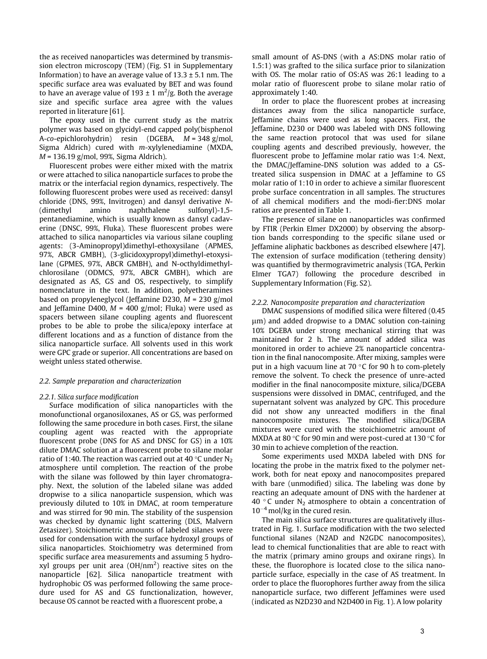the as received nanoparticles was determined by transmission electron microscopy (TEM) (Fig. S1 in Supplementary Information) to have an average value of 13.3 ± 5.1 nm. The specific surface area was evaluated by BET and was found to have an average value of 193  $\pm$  1 m<sup>2</sup>/g. Both the average size and specific surface area agree with the values reported in literature [\[61\].](#page-12-0)

The epoxy used in the current study as the matrix polymer was based on glycidyl-end capped poly(bisphenol A-co-epichlorohydrin) resin (DGEBA,  $M = 348$  g/mol, Sigma Aldrich) cured with m-xylylenediamine (MXDA, M = 136.19 g/mol, 99%, Sigma Aldrich).

Fluorescent probes were either mixed with the matrix or were attached to silica nanoparticle surfaces to probe the matrix or the interfacial region dynamics, respectively. The following fluorescent probes were used as received: dansyl chloride (DNS, 99%, Invitrogen) and dansyl derivative N- (dimethyl amino naphthalene sulfonyl)-1,5 pentanediamine, which is usually known as dansyl cadaverine (DNSC, 99%, Fluka). These fluorescent probes were attached to silica nanoparticles via various silane coupling agents: (3-Aminopropyl)dimethyl-ethoxysilane (APMES, 97%, ABCR GMBH), (3-glicidoxypropyl)dimethyl-etoxysilane (GPMES, 97%, ABCR GMBH), and N-octhyldimethylchlorosilane (ODMCS, 97%, ABCR GMBH), which are designated as AS, GS and OS, respectively, to simplify nomenclature in the text. In addition, polyetheramines based on propyleneglycol (Jeffamine D230,  $M = 230$  g/mol and Jeffamine D400,  $M = 400$  g/mol; Fluka) were used as spacers between silane coupling agents and fluorescent probes to be able to probe the silica/epoxy interface at different locations and as a function of distance from the silica nanoparticle surface. All solvents used in this work were GPC grade or superior. All concentrations are based on weight unless stated otherwise.

## 2.2. Sample preparation and characterization

#### 2.2.1. Silica surface modification

Surface modification of silica nanoparticles with the monofunctional organosiloxanes, AS or GS, was performed following the same procedure in both cases. First, the silane coupling agent was reacted with the appropriate fluorescent probe (DNS for AS and DNSC for GS) in a 10% dilute DMAC solution at a fluorescent probe to silane molar ratio of 1:40. The reaction was carried out at 40  $\degree$ C under N<sub>2</sub> atmosphere until completion. The reaction of the probe with the silane was followed by thin layer chromatography. Next, the solution of the labeled silane was added dropwise to a silica nanoparticle suspension, which was previously diluted to 10% in DMAC, at room temperature and was stirred for 90 min. The stability of the suspension was checked by dynamic light scattering (DLS, Malvern Zetasizer). Stoichiometric amounts of labeled silanes were used for condensation with the surface hydroxyl groups of silica nanoparticles. Stoichiometry was determined from specific surface area measurements and assuming 5 hydroxyl groups per unit area (OH/nm<sup>2</sup>) reactive sites on the nanoparticle [\[62\]](#page-12-0). Silica nanoparticle treatment with hydrophobic OS was performed following the same procedure used for AS and GS functionalization, however, because OS cannot be reacted with a fluorescent probe, a

small amount of AS-DNS (with a AS:DNS molar ratio of 1.5:1) was grafted to the silica surface prior to silanization with OS. The molar ratio of OS:AS was 26:1 leading to a molar ratio of fluorescent probe to silane molar ratio of approximately 1:40.

In order to place the fluorescent probes at increasing distances away from the silica nanoparticle surface, Jeffamine chains were used as long spacers. First, the Jeffamine, D230 or D400 was labeled with DNS following the same reaction protocol that was used for silane coupling agents and described previously, however, the fluorescent probe to Jeffamine molar ratio was 1:4. Next, the DMAC/Jeffamine-DNS solution was added to a GStreated silica suspension in DMAC at a Jeffamine to GS molar ratio of 1:10 in order to achieve a similar fluorescent probe surface concentration in all samples. The structures of all chemical modifiers and the modi-fier:DNS molar ratios are presented in Table 1.

The presence of silane on nanoparticles was confirmed by FTIR (Perkin Elmer DX2000) by observing the absorption bands corresponding to the specific silane used or Jeffamine aliphatic backbones as described elsewhere [47]. [The](#page-12-0) extension of surface modification (tethering density) was quantified by thermogravimetric analysis (TGA, Perkin Elmer TGA7) following the procedure described in Supplementary Information (Fig. S2).

#### 2.2.2. Nanocomposite preparation and characterization

DMAC suspensions of modified silica were filtered (0.45  $\mu$ m) and added dropwise to a DMAC solution con-taining 10% DGEBA under strong mechanical stirring that was maintained for 2 h. The amount of added silica was monitored in order to achieve 2% nanoparticle concentration in the final nanocomposite. After mixing, samples were put in a high vacuum line at 70  $\degree$ C for 90 h to com-pletely remove the solvent. To check the presence of unre-acted modifier in the final nanocomposite mixture, silica/DGEBA suspensions were dissolved in DMAC, centrifuged, and the supernatant solvent was analyzed by GPC. This procedure did not show any unreacted modifiers in the final nanocomposite mixtures. The modified silica/DGEBA mixtures were cured with the stoichiometric amount of MXDA at 80  $\degree$ C for 90 min and were post-cured at 130  $\degree$ C for 30 min to achieve completion of the reaction.

Some experiments used MXDA labeled with DNS for locating the probe in the matrix fixed to the polymer network, both for neat epoxy and nanocomposites prepared with bare (unmodified) silica. The labeling was done by reacting an adequate amount of DNS with the hardener at 40  $\degree$ C under N<sub>2</sub> atmosphere to obtain a concentration of  $10^{-4}$  mol/kg in the cured resin.

The main silica surface structures are qualitatively illustrated in [Fig.](#page-4-0) 1. Surface modification with the two selected functional silanes (N2AD and N2GDC nanocomposites), lead to chemical functionalities that are able to react with the matrix (primary amino groups and oxirane rings). In these, the fluorophore is located close to the silica nanoparticle surface, especially in the case of AS treatment. In order to place the fluorophores further away from the silica nanoparticle surface, two different Jeffamines were used (indicated as N2D230 and N2D400 in [Fig.](#page-4-0) 1). A low polarity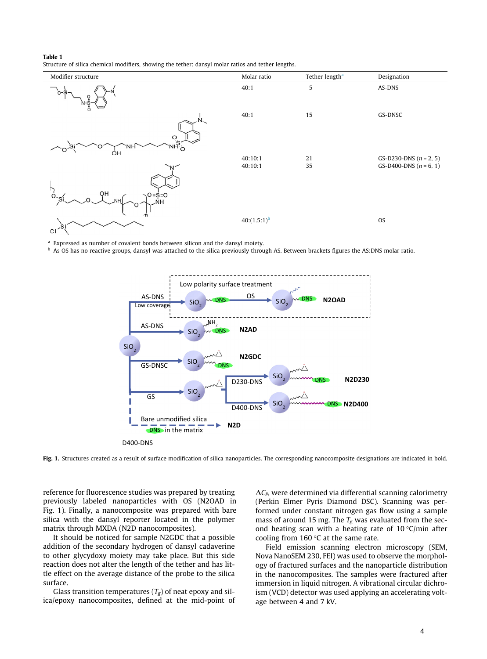<span id="page-4-0"></span>Table 1 Structure of silica chemical modifiers, showing the tether: dansyl molar ratios and tether lengths.

| Modifier structure                        | Molar ratio    | Tether length <sup>a</sup> | Designation              |
|-------------------------------------------|----------------|----------------------------|--------------------------|
| `o-si·<br>၀ူ<br>NHS<br>Ö                  | 40:1           | 5                          | AS-DNS                   |
| .Ñ.<br>o<br>NHS<br>O<br>'NH<br>$0^{\sim}$ | 40:1           | 15                         | GS-DNSC                  |
| ÓН                                        | 40:10:1        | 21                         | GS-D230-DNS $(n = 2, 5)$ |
| `N ´                                      | 40:10:1        | 35                         | GS-D400-DNS $(n = 6, 1)$ |
| OH<br>) <sup>О=\$=О</sup><br>∖_NH         |                |                            |                          |
| ر<br>S<br>$\cap$                          | $40:(1.5:1)^b$ |                            | <b>OS</b>                |

<sup>a</sup> Expressed as number of covalent bonds between silicon and the dansyl moiety.

<sup>b</sup> As OS has no reactive groups, dansyl was attached to the silica previously through AS. Between brackets figures the AS:DNS molar ratio.



Fig. 1. Structures created as a result of surface modification of silica nanoparticles. The corresponding nanocomposite designations are indicated in bold.

reference for fluorescence studies was prepared by treating previously labeled nanoparticles with OS (N2OAD in Fig. 1). Finally, a nanocomposite was prepared with bare silica with the dansyl reporter located in the polymer matrix through MXDA (N2D nanocomposites).

It should be noticed for sample N2GDC that a possible addition of the secondary hydrogen of dansyl cadaverine to other glycydoxy moiety may take place. But this side reaction does not alter the length of the tether and has little effect on the average distance of the probe to the silica surface.

Glass transition temperatures  $(T_g)$  of neat epoxy and silica/epoxy nanocomposites, defined at the mid-point of

 $\Delta C_P$ , were determined via differential scanning calorimetry (Perkin Elmer Pyris Diamond DSC). Scanning was performed under constant nitrogen gas flow using a sample mass of around 15 mg. The  $T_g$  was evaluated from the second heating scan with a heating rate of  $10^{\circ}$ C/min after cooling from 160 $\degree$ C at the same rate.

Field emission scanning electron microscopy (SEM, Nova NanoSEM 230, FEI) was used to observe the morphology of fractured surfaces and the nanoparticle distribution in the nanocomposites. The samples were fractured after immersion in liquid nitrogen. A vibrational circular dichroism (VCD) detector was used applying an accelerating voltage between 4 and 7 kV.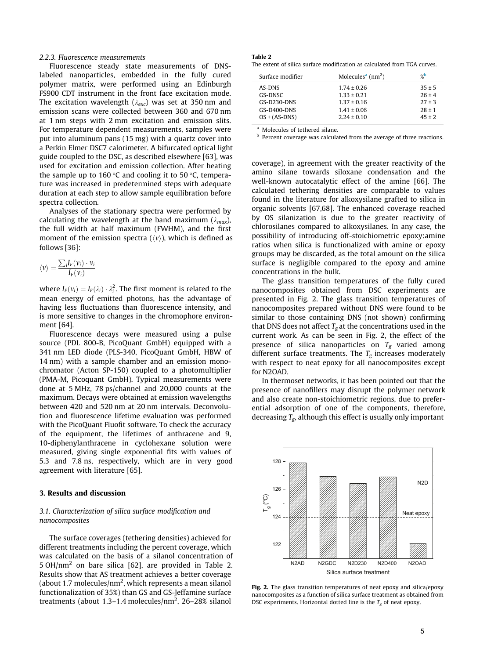#### <span id="page-5-0"></span>2.2.3. Fluorescence measurements

Fluorescence steady state measurements of DNSlabeled nanoparticles, embedded in the fully cured polymer matrix, were performed using an Edinburgh FS900 CDT instrument in the front face excitation mode. The excitation wavelength ( $\lambda_{\text{exc}}$ ) was set at 350 nm and emission scans were collected between 360 and 670 nm at 1 nm steps with 2 mm excitation and emission slits. For temperature dependent measurements, samples were put into aluminum pans (15 mg) with a quartz cover into a Perkin Elmer DSC7 calorimeter. A bifurcated optical light guide coupled to the DSC, as described elsewhere [\[63\]](#page-12-0), was used for excitation and emission collection. After heating the sample up to 160  $\degree$ C and cooling it to 50  $\degree$ C, temperature was increased in predetermined steps with adequate duration at each step to allow sample equilibration before spectra collection.

Analyses of the stationary spectra were performed by calculating the wavelength at the band maximum ( $\lambda_{max}$ ), the full width at half maximum (FWHM), and the first moment of the emission spectra  $({\langle v \rangle})$ , which is defined as follows [\[36\]:](#page-12-0)

$$
\langle v \rangle = \frac{\sum_i I_F(v_i) \cdot v_i}{I_F(v_i)}
$$

where  $I_F(v_i) = I_F(\lambda_i) \cdot \lambda_i^2$ . The first moment is related to the mean energy of emitted photons, has the advantage of having less fluctuations than fluorescence intensity, and is more sensitive to changes in the chromophore environment [\[64\]](#page-12-0).

Fluorescence decays were measured using a pulse source (PDL 800-B, PicoQuant GmbH) equipped with a 341 nm LED diode (PLS-340, PicoQuant GmbH, HBW of 14 nm) with a sample chamber and an emission monochromator (Acton SP-150) coupled to a photomultiplier (PMA-M, Picoquant GmbH). Typical measurements were done at 5 MHz, 78 ps/channel and 20,000 counts at the maximum. Decays were obtained at emission wavelengths between 420 and 520 nm at 20 nm intervals. Deconvolution and fluorescence lifetime evaluation was performed with the PicoQuant Fluofit software. To check the accuracy of the equipment, the lifetimes of anthracene and 9, 10-diphenylanthracene in cyclohexane solution were measured, giving single exponential fits with values of 5.3 and 7.8 ns, respectively, which are in very good agreement with literature [\[65\].](#page-12-0)

## 3. Results and discussion

## 3.1. Characterization of silica surface modification and nanocomposites

The surface coverages (tethering densities) achieved for different treatments including the percent coverage, which was calculated on the basis of a silanol concentration of 5 OH/nm<sup>2</sup> on bare silica [\[62\]](#page-12-0), are provided in Table 2. Results show that AS treatment achieves a better coverage (about 1.7 molecules/nm<sup>2</sup>, which represents a mean silanol functionalization of 35%) than GS and GS-Jeffamine surface treatments (about 1.3–1.4 molecules/nm<sup>2</sup>, 26–28% silanol

| Table 2                                                                  |  |  |  |  |
|--------------------------------------------------------------------------|--|--|--|--|
| The extent of silica surface modification as calculated from TGA curves. |  |  |  |  |

| Surface modifier | Molecules <sup>a</sup> ( $nm2$ ) | $\%$       |
|------------------|----------------------------------|------------|
| AS-DNS           | $1.74 \pm 0.26$                  | $35 \pm 5$ |
| GS-DNSC          | $1.33 \pm 0.21$                  | $26 + 4$   |
| $GS-D230-DNS$    | $1.37 \pm 0.16$                  | $27 + 3$   |
| $GS-D400-DNS$    | $1.41 \pm 0.06$                  | $28 + 1$   |
| $OS + (AS-DNS)$  | $2.24 \pm 0.10$                  | $45 \pm 2$ |

Molecules of tethered silane.

**b** Percent coverage was calculated from the average of three reactions.

coverage), in agreement with the greater reactivity of the amino silane towards siloxane condensation and the well-known autocatalytic effect of the amine [\[66\]](#page-12-0). The calculated tethering densities are comparable to values found in the literature for alkoxysilane grafted to silica in organic solvents [\[67,68\]](#page-12-0). The enhanced coverage reached by OS silanization is due to the greater reactivity of chlorosilanes compared to alkoxysilanes. In any case, the possibility of introducing off-stoichiometric epoxy:amine ratios when silica is functionalized with amine or epoxy groups may be discarded, as the total amount on the silica surface is negligible compared to the epoxy and amine concentrations in the bulk.

The glass transition temperatures of the fully cured nanocomposites obtained from DSC experiments are presented in Fig. 2. The glass transition temperatures of nanocomposites prepared without DNS were found to be similar to those containing DNS (not shown) confirming that DNS does not affect  $T_g$  at the concentrations used in the current work. As can be seen in Fig. 2, the effect of the presence of silica nanoparticles on  $T_g$  varied among different surface treatments. The  $T_g$  increases moderately with respect to neat epoxy for all nanocomposites except for N2OAD.

In thermoset networks, it has been pointed out that the presence of nanofillers may disrupt the polymer network and also create non-stoichiometric regions, due to preferential adsorption of one of the components, therefore, decreasing  $T_g$ , although this effect is usually only important



Fig. 2. The glass transition temperatures of neat epoxy and silica/epoxy nanocomposites as a function of silica surface treatment as obtained from DSC experiments. Horizontal dotted line is the  $T_g$  of neat epoxy.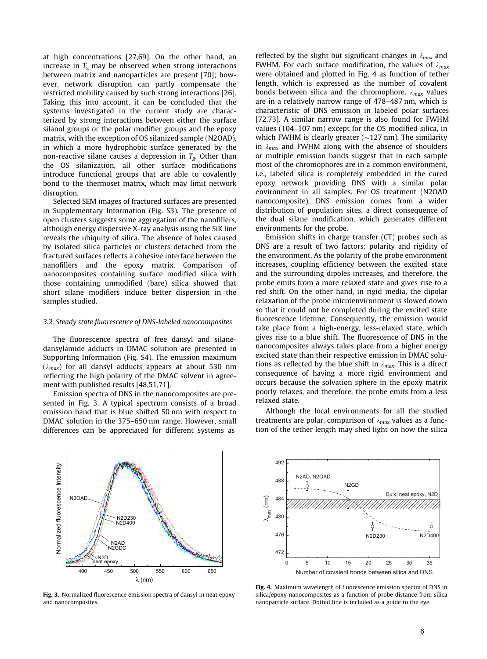<span id="page-6-0"></span>at high concentrations [\[27,69\]](#page-11-0). On the other hand, an increase in  $T_g$  may be observed when strong interactions between matrix and nanoparticles are present [\[70\]](#page-12-0); however, network disruption can partly compensate the restricted mobility caused by such strong interactions [26]. [Taki](#page-11-0)ng this into account, it can be concluded that the systems investigated in the current study are characterized by strong interactions between either the surface silanol groups or the polar modifier groups and the epoxy matrix, with the exception of OS silanized sample (N2OAD), in which a more hydrophobic surface generated by the non-reactive silane causes a depression in  $T_{\rm g}$ . Other than the OS silanization, all other surface modifications introduce functional groups that are able to covalently bond to the thermoset matrix, which may limit network disruption.

Selected SEM images of fractured surfaces are presented in Supplementary Information (Fig. S3). The presence of open clusters suggests some aggregation of the nanofillers, although energy dispersive X-ray analysis using the SiK line reveals the ubiquity of silica. The absence of holes caused by isolated silica particles or clusters detached from the fractured surfaces reflects a cohesive interface between the nanofillers and the epoxy matrix. Comparison of nanocomposites containing surface modified silica with those containing unmodified (bare) silica showed that short silane modifiers induce better dispersion in the samples studied.

#### 3.2. Steady state fluorescence of DNS-labeled nanocomposites

The fluorescence spectra of free dansyl and silanedansylamide adducts in DMAC solution are presented in Supporting Information (Fig. S4). The emission maximum  $(\lambda_{max})$  for all dansyl adducts appears at about 530 nm reflecting the high polarity of the DMAC solvent in agreement with published results [\[48,51,71\].](#page-12-0)

Emission spectra of DNS in the nanocomposites are presented in Fig. 3. A typical spectrum consists of a broad emission band that is blue shifted 50 nm with respect to DMAC solution in the 375–650 nm range. However, small differences can be appreciated for different systems as

Intensity

reflected by the slight but significant changes in  $\lambda_{max}$  and FWHM. For each surface modification, the values of  $\lambda_{max}$ were obtained and plotted in Fig. 4 as function of tether length, which is expressed as the number of covalent bonds between silica and the chromophore.  $\lambda_{max}$  values are in a relatively narrow range of 478–487 nm, which is characteristic of DNS emission in labeled polar surfaces [\[72,73\].](#page-12-0) A similar narrow range is also found for FWHM values (104–107 nm) except for the OS modified silica, in which FWHM is clearly greater  $(\sim127 \text{ nm})$ . The similarity in  $\lambda_{\text{max}}$  and FWHM along with the absence of shoulders or multiple emission bands suggest that in each sample most of the chromophores are in a common environment, i.e., labeled silica is completely embedded in the cured epoxy network providing DNS with a similar polar environment in all samples. For OS treatment (N2OAD nanocomposite), DNS emission comes from a wider distribution of population sites, a direct consequence of the dual silane modification, which generates different environments for the probe.

Emission shifts in charge transfer (CT) probes such as DNS are a result of two factors: polarity and rigidity of the environment. As the polarity of the probe environment increases, coupling efficiency between the excited state and the surrounding dipoles increases, and therefore, the probe emits from a more relaxed state and gives rise to a red shift. On the other hand, in rigid media, the dipolar relaxation of the probe microenvironment is slowed down so that it could not be completed during the excited state fluorescence lifetime. Consequently, the emission would take place from a high-energy, less-relaxed state, which gives rise to a blue shift. The fluorescence of DNS in the nanocomposites always takes place from a higher energy excited state than their respective emission in DMAC solutions as reflected by the blue shift in  $\lambda_{max}$ . This is a direct consequence of having a more rigid environment and occurs because the solvation sphere in the epoxy matrix poorly relaxes, and therefore, the probe emits from a less relaxed state.

Although the local environments for all the studied treatments are polar, comparison of  $\lambda_{max}$  values as a function of the tether length may shed light on how the silica



Fig. 3. Normalized fluorescence emission spectra of dansyl in neat epoxy and nanocomposites.



Fig. 4. Maximum wavelength of fluorescence emission spectra of DNS in silica/epoxy nanocomposites as a function of probe distance from silica nanoparticle surface. Dotted line is included as a guide to the eye.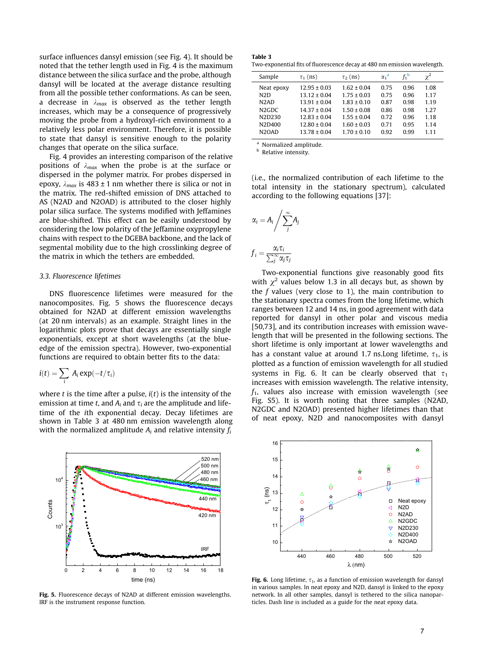<span id="page-7-0"></span>surface influences dansyl emission (see [Fig.](#page-6-0) 4). It should be noted that the tether length used in [Fig.](#page-6-0) 4 is the maximum distance between the silica surface and the probe, although dansyl will be located at the average distance resulting from all the possible tether conformations. As can be seen, a decrease in  $\lambda_{max}$  is observed as the tether length increases, which may be a consequence of progressively moving the probe from a hydroxyl-rich environment to a relatively less polar environment. Therefore, it is possible to state that dansyl is sensitive enough to the polarity changes that operate on the silica surface.

[Fig.](#page-6-0) 4 provides an interesting comparison of the relative positions of  $\lambda_{max}$  when the probe is at the surface or dispersed in the polymer matrix. For probes dispersed in epoxy,  $\lambda_{max}$  is 483 ± 1 nm whether there is silica or not in the matrix. The red-shifted emission of DNS attached to AS (N2AD and N2OAD) is attributed to the closer highly polar silica surface. The systems modified with Jeffamines are blue-shifted. This effect can be easily understood by considering the low polarity of the Jeffamine oxypropylene chains with respect to the DGEBA backbone, and the lack of segmental mobility due to the high crosslinking degree of the matrix in which the tethers are embedded.

## 3.3. Fluorescence lifetimes

DNS fluorescence lifetimes were measured for the nanocomposites. Fig. 5 shows the fluorescence decays obtained for N2AD at different emission wavelengths (at 20 nm intervals) as an example. Straight lines in the logarithmic plots prove that decays are essentially single exponentials, except at short wavelengths (at the blueedge of the emission spectra). However, two-exponential functions are required to obtain better fits to the data:

$$
i(t) = \sum_i A_i \exp(-t/\tau_i)
$$

where  $t$  is the time after a pulse,  $i(t)$  is the intensity of the emission at time t, and  $A_i$  and  $\tau_i$  are the amplitude and lifetime of the ith exponential decay. Decay lifetimes are shown in Table 3 at 480 nm emission wavelength along with the normalized amplitude  $A_i$  and relative intensity  $f_i$ 



Fig. 5. Fluorescence decays of N2AD at different emission wavelengths. IRF is the instrument response function.

Table 3 Two-exponential fits of fluorescence decay at 480 nm emission wavelength.

| $\tau_1$ (ns)    | $\tau_2$ (ns)   | $\alpha_1^{\rm a}$ | $f_1^{\ b}$ | $\gamma^2$ |
|------------------|-----------------|--------------------|-------------|------------|
| $12.95 \pm 0.03$ | $1.62 \pm 0.04$ | 0.75               | 0.96        | 1.08       |
| $13.12 \pm 0.04$ | $1.75 \pm 0.03$ | 0.75               | 0.96        | 1.17       |
| $13.91 \pm 0.04$ | $1.83 \pm 0.10$ | 0.87               | 0.98        | 1.19       |
| $14.37 \pm 0.04$ | $1.50 \pm 0.08$ | 0.86               | 0.98        | 1.27       |
| $12.83 + 0.04$   | $155 + 004$     | 0.72               | 0.96        | 1.18       |
| $12.80 \pm 0.04$ | $160 + 003$     | 0.71               | 0.95        | 1.14       |
| $13.78 \pm 0.04$ | $1.70 \pm 0.10$ | 0.92               | 0.99        | 1 1 1      |
|                  |                 |                    |             |            |

<sup>a</sup> Normalized amplitude.

Relative intensity.

(i.e., the normalized contribution of each lifetime to the total intensity in the stationary spectrum), calculated according to the following equations [\[37\]](#page-12-0):

$$
\alpha_i = A_i / \sum_{j=1}^{\infty} A_j
$$

$$
f_i = \frac{\alpha_i \tau_i}{\sum_{j=1}^{\infty} \alpha_j \tau_j}
$$

Two-exponential functions give reasonably good fits with  $\chi^2$  values below 1.3 in all decays but, as shown by the  $f$  values (very close to 1), the main contribution to the stationary spectra comes from the long lifetime, which ranges between 12 and 14 ns, in good agreement with data reported for dansyl in other polar and viscous media [\[50,73\]](#page-12-0), and its contribution increases with emission wavelength that will be presented in the following sections. The short lifetime is only important at lower wavelengths and has a constant value at around 1.7 ns. Long lifetime,  $\tau_1$ , is plotted as a function of emission wavelength for all studied systems in Fig. 6. It can be clearly observed that  $\tau_1$ increases with emission wavelength. The relative intensity,  $f_1$ , values also increase with emission wavelength (see Fig. S5). It is worth noting that three samples (N2AD, N2GDC and N2OAD) presented higher lifetimes than that of neat epoxy, N2D and nanocomposites with dansyl



Fig. 6. Long lifetime,  $\tau_1$ , as a function of emission wavelength for dansyl in various samples. In neat epoxy and N2D, dansyl is linked to the epoxy network. In all other samples, dansyl is tethered to the silica nanoparticles. Dash line is included as a guide for the neat epoxy data.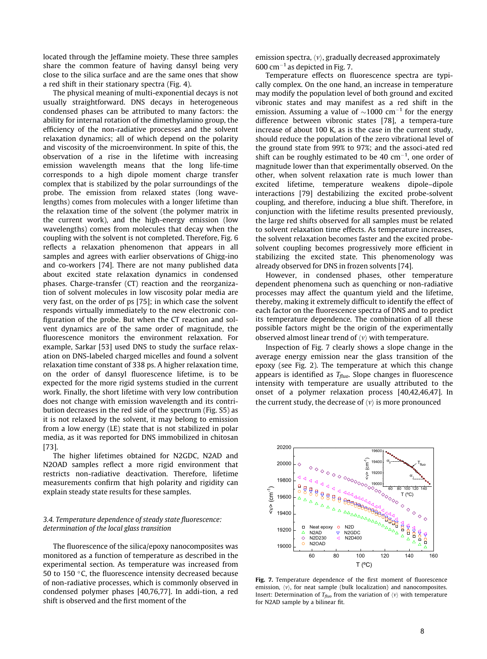<span id="page-8-0"></span>located through the Jeffamine moiety. These three samples share the common feature of having dansyl being very close to the silica surface and are the same ones that show a red shift in their stationary spectra ([Fig.](#page-6-0) 4).

The physical meaning of multi-exponential decays is not usually straightforward. DNS decays in heterogeneous condensed phases can be attributed to many factors: the ability for internal rotation of the dimethylamino group, the efficiency of the non-radiative processes and the solvent relaxation dynamics; all of which depend on the polarity and viscosity of the microenvironment. In spite of this, the observation of a rise in the lifetime with increasing emission wavelength means that the long life-time corresponds to a high dipole moment charge transfer complex that is stabilized by the polar surroundings of the probe. The emission from relaxed states (long wavelengths) comes from molecules with a longer lifetime than the relaxation time of the solvent (the polymer matrix in the current work), and the high-energy emission (low wavelengths) comes from molecules that decay when the coupling with the solvent is not completed. Therefore, Fig. 6 [reflect](#page-7-0)s a relaxation phenomenon that appears in all samples and agrees with earlier observations of Ghigg-ino and co-workers [74]. [The](#page-12-0)re are not many published data about excited state relaxation dynamics in condensed phases. Charge-transfer (CT) reaction and the reorganization of solvent molecules in low viscosity polar media are very fast, on the order of ps [\[75\]](#page-12-0); in which case the solvent responds virtually immediately to the new electronic configuration of the probe. But when the CT reaction and solvent dynamics are of the same order of magnitude, the fluorescence monitors the environment relaxation. For example, Sarkar [\[53\]](#page-12-0) used DNS to study the surface relaxation on DNS-labeled charged micelles and found a solvent relaxation time constant of 338 ps. A higher relaxation time, on the order of dansyl fluorescence lifetime, is to be expected for the more rigid systems studied in the current work. Finally, the short lifetime with very low contribution does not change with emission wavelength and its contribution decreases in the red side of the spectrum (Fig. S5) as it is not relaxed by the solvent, it may belong to emission from a low energy (LE) state that is not stabilized in polar media, as it was reported for DNS immobilized in chitosan [\[73\]](#page-12-0).

The higher lifetimes obtained for N2GDC, N2AD and N2OAD samples reflect a more rigid environment that restricts non-radiative deactivation. Therefore, lifetime measurements confirm that high polarity and rigidity can explain steady state results for these samples.

## 3.4. Temperature dependence of steady state fluorescence: determination of the local glass transition

The fluorescence of the silica/epoxy nanocomposites was monitored as a function of temperature as described in the experimental section. As temperature was increased from 50 to 150 $\degree$ C, the fluorescence intensity decreased because of non-radiative processes, which is commonly observed in condensed polymer phases [40,76,77]. In [addi-ti](#page-12-0)on, a red shift is observed and the first moment of the

emission spectra,  $\langle v \rangle$ , gradually decreased approximately  $600$  cm $^{-1}$  as depicted in Fig. 7.

Temperature effects on fluorescence spectra are typically complex. On the one hand, an increase in temperature may modify the population level of both ground and excited vibronic states and may manifest as a red shift in the emission. Assuming a value of  $\sim$ 1000 cm<sup>-1</sup> for the energy difference between vibronic states [78], [a](#page-12-0) tempera-ture increase of about 100 K, as is the case in the current study, should reduce the population of the zero vibrational level of the ground state from 99% to 97%; and the associ-ated red shift can be roughly estimated to be 40  $cm^{-1}$ , one order of magnitude lower than that experimentally observed. On the other, when solvent relaxation rate is much lower than excited lifetime, temperature weakens dipole–dipole interactions [79] destabili[zing](#page-12-0) the excited probe-solvent coupling, and therefore, inducing a blue shift. Therefore, in conjunction with the lifetime results presented previously, the large red shifts observed for all samples must be related to solvent relaxation time effects. As temperature increases, the solvent relaxation becomes faster and the excited probesolvent coupling becomes progressively more efficient in stabilizing the excited state. This phenomenology was already observed for DNS in frozen solvents [74].

However, in [co](#page-12-0)ndensed phases, other temperature dependent phenomena such as quenching or non-radiative processes may affect the quantum yield and the lifetime, thereby, making it extremely difficult to identify the effect of each factor on the fluorescence spectra of DNS and to predict its temperature dependence. The combination of all these possible factors might be the origin of the experimentally observed almost linear trend of  $\langle v \rangle$  with temperature.

Inspection of Fig. 7 clearly shows a slope change in the average energy emission near the glass transition of the epoxy (see Fig. 2). The temperature at which this change appears is identified as  $T_{fluo}$ . Slope changes in fluorescence intensity [with](#page-5-0) temperature are usually attributed to the onset of a polymer relaxation process [40,42,46,47]. In the current study, the decrease of  $\langle v \rangle$  is more pronounced



Fig. 7. Temperature dependence of the first moment of fluorescence emission,  $\langle v \rangle$ , for neat sample (bulk localization) and nanocomposites. Insert: Determination of  $T_{fluo}$  from the variation of  $\langle v \rangle$  with temperature for N2AD sample by a bilinear fit.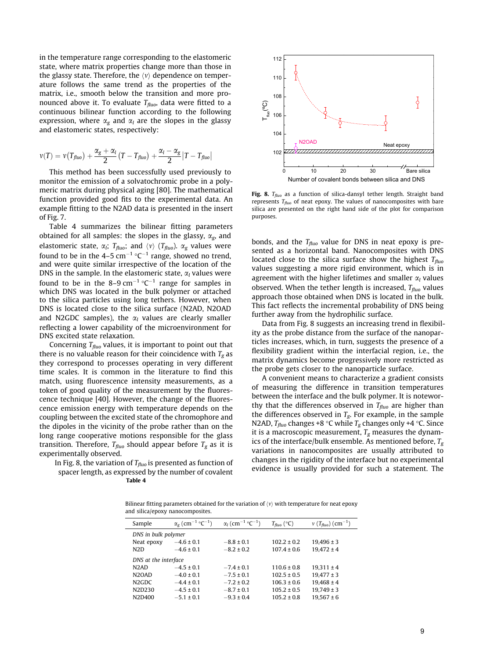in the temperature range corresponding to the elastomeric state, where matrix properties change more than those in the glassy state. Therefore, the  $\langle v \rangle$  dependence on temperature follows the same trend as the properties of the matrix, i.e., smooth below the transition and more pronounced above it. To evaluate  $T_{fluo}$ , data were fitted to a continuous bilinear function according to the following expression, where  $\alpha_{g}$  and  $\alpha_{l}$  are the slopes in the glassy and elastomeric states, respectively:

$$
\nu(T)=\nu\big(T_{\text{fluo}}\big)+\frac{\alpha_g+\alpha_l}{2}\big(T-T_{\text{fluo}}\big)+\frac{\alpha_l-\alpha_g}{2}\big|T-T_{\text{fluo}}\big|
$$

This method has been successfully used previously to monitor the emission of a solvatochromic probe in a polymeric matrix during physical aging [\[80\]](#page-12-0). The mathematical function provided good fits to the experimental data. An example fitting to the N2AD data is presented in the insert of [Fig.](#page-8-0) 7.

Table 4 summarizes the bilinear fitting parameters obtained for all samples: the slopes in the glassy,  $\alpha_{\rm g}$ , and elastomeric state,  $\alpha_i$ ;  $T_{fluo}$ ; and  $\langle v \rangle$  ( $T_{fluo}$ ).  $\alpha_g$  values were found to be in the 4–5  $cm^{-1}$  °C<sup>-1</sup> range, showed no trend, and were quite similar irrespective of the location of the DNS in the sample. In the elastomeric state,  $\alpha_l$  values were found to be in the 8–9 cm<sup>-1</sup>  $\degree$ C<sup>-1</sup> range for samples in which DNS was located in the bulk polymer or attached to the silica particles using long tethers. However, when DNS is located close to the silica surface (N2AD, N2OAD and N2GDC samples), the  $\alpha_l$  values are clearly smaller reflecting a lower capability of the microenvironment for DNS excited state relaxation.

Concerning  $T_{fluo}$  values, it is important to point out that there is no valuable reason for their coincidence with  $T_g$  as they correspond to processes operating in very different time scales. It is common in the literature to find this match, using fluorescence intensity measurements, as a token of good quality of the measurement by the fluorescence technique [\[40\]](#page-12-0). However, the change of the fluorescence emission energy with temperature depends on the coupling between the excited state of the chromophore and the dipoles in the vicinity of the probe rather than on the long range cooperative motions responsible for the glass transition. Therefore,  $T_{fluo}$  should appear before  $T_g$  as it is experimentally observed.

In Fig. 8, the variation of  $T_{fluo}$  is presented as function of spacer length, as expressed by the number of covalent Table 4



Fig. 8.  $T_{\text{fluo}}$  as a function of silica-dansyl tether length. Straight band represents  $T_{fluo}$  of neat epoxy. The values of nanocomposites with bare silica are presented on the right hand side of the plot for comparison purposes.

bonds, and the  $T_{fluo}$  value for DNS in neat epoxy is presented as a horizontal band. Nanocomposites with DNS located close to the silica surface show the highest  $T_{fluo}$ values suggesting a more rigid environment, which is in agreement with the higher lifetimes and smaller  $\alpha_l$  values observed. When the tether length is increased,  $T_{fluo}$  values approach those obtained when DNS is located in the bulk. This fact reflects the incremental probability of DNS being further away from the hydrophilic surface.

Data from Fig. 8 suggests an increasing trend in flexibility as the probe distance from the surface of the nanoparticles increases, which, in turn, suggests the presence of a flexibility gradient within the interfacial region, i.e., the matrix dynamics become progressively more restricted as the probe gets closer to the nanoparticle surface.

A convenient means to characterize a gradient consists of measuring the difference in transition temperatures between the interface and the bulk polymer. It is noteworthy that the differences observed in  $T_{\text{fluo}}$  are higher than the differences observed in  $T_{\rm g}$ . For example, in the sample N2AD,  $T_{\text{fluo}}$  changes +8 °C while  $T_{\text{g}}$  changes only +4 °C. Since it is a macroscopic measurement,  $T_g$  measures the dynamics of the interface/bulk ensemble. As mentioned before,  $T_g$ variations in nanocomposites are usually attributed to changes in the rigidity of the interface but no experimental evidence is usually provided for such a statement. The

Bilinear fitting parameters obtained for the variation of  $\langle v \rangle$  with temperature for neat epoxy and silica/epoxy nanocomposites.

| Sample                          | $\alpha_{\sigma}$ (cm <sup>-1</sup> °C <sup>-1</sup> ) | $\alpha_l$ (cm <sup>-1</sup> °C <sup>-1</sup> ) | $T_{fluo}$ (°C) | $v(T_{\text{fluo}})(cm^{-1})$ |
|---------------------------------|--------------------------------------------------------|-------------------------------------------------|-----------------|-------------------------------|
|                                 | DNS in bulk polymer                                    |                                                 |                 |                               |
| Neat epoxy                      | $-4.6 \pm 0.1$                                         | $-8.8 \pm 0.1$                                  | $102.2 \pm 0.2$ | $19.496 \pm 3$                |
| N <sub>2</sub> D                | $-4.6 \pm 0.1$                                         | $-8.2 \pm 0.2$                                  | $107.4 \pm 0.6$ | $19.472 \pm 4$                |
|                                 | DNS at the interface                                   |                                                 |                 |                               |
| N <sub>2</sub> AD               | $-4.5 \pm 0.1$                                         | $-7.4 \pm 0.1$                                  | $110.6 \pm 0.8$ | $19.311 \pm 4$                |
| N <sub>2</sub> OAD              | $-4.0 \pm 0.1$                                         | $-7.5 \pm 0.1$                                  | $102.5 \pm 0.5$ | $19.477 \pm 3$                |
| N <sub>2</sub> G <sub>D</sub> C | $-4.4 \pm 0.1$                                         | $-7.2 \pm 0.2$                                  | $106.3 \pm 0.6$ | $19.468 \pm 4$                |
| N2D230                          | $-4.5 \pm 0.1$                                         | $-8.7 \pm 0.1$                                  | $105.2 \pm 0.5$ | $19.749 \pm 3$                |
| N2D400                          | $-5.1 \pm 0.1$                                         | $-9.3 \pm 0.4$                                  | $105.2 \pm 0.8$ | $19.567 \pm 6$                |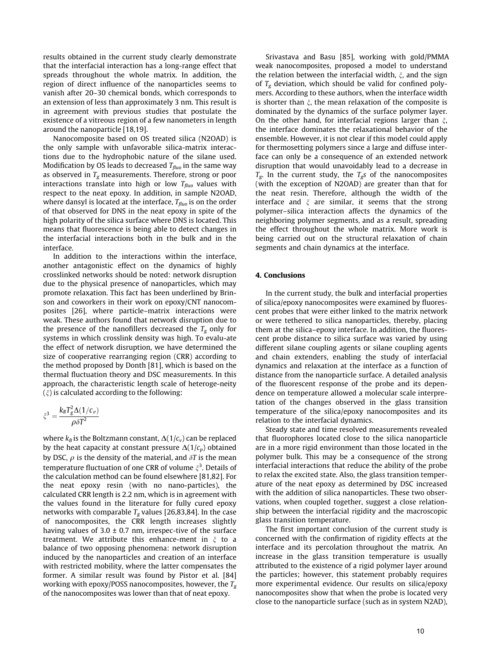results obtained in the current study clearly demonstrate that the interfacial interaction has a long-range effect that spreads throughout the whole matrix. In addition, the region of direct influence of the nanoparticles seems to vanish after 20–30 chemical bonds, which corresponds to an extension of less than approximately 3 nm. This result is in agreement with previous studies that postulate the existence of a vitreous region of a few nanometers in length around the nanoparticle [18,19].

Nanocomposite based on OS treated silica (N2OAD) is the only sample with unfavorable silica-matrix interactions due to the hydrophobic nature of the silane used. Modification by OS leads to decreased  $T_{\text{fluo}}$  in the same way as observed in  $T_g$  measurements. Therefore, strong or poor interactions translate into high or low  $T_{fluo}$  values with respect to the neat epoxy. In addition, in sample N2OAD, where dansyl is located at the interface,  $T_{flow}$  is on the order of that observed for DNS in the neat epoxy in spite of the high polarity of the silica surface where DNS is located. This means that fluorescence is being able to detect changes in the interfacial interactions both in the bulk and in the interface.

In addition to the interactions within the interface, another antagonistic effect on the dynamics of highly crosslinked networks should be noted: network disruption due to the physical presence of nanoparticles, which may promote relaxation. This fact has been underlined by Brinson and coworkers in their work on epoxy/CNT nanocomposites [\[26\]](#page-11-0), where particle–matrix interactions were weak. These authors found that network disruption due to the presence of the nanofillers decreased the  $T_g$  only for systems in which crosslink density was high. To evalu-ate the effect of network disruption, we have determined the size of cooperative rearranging region (CRR) according to the method proposed by Donth [81], [wh](#page-12-0)ich is based on the thermal fluctuation theory and DSC measurements. In this approach, the characteristic length scale of heteroge-neity  $(\xi)$  is calculated according to the following:

$$
\xi^3 = \frac{k_B T_g^2 \Delta (1/c_v)}{\rho \delta T^2}
$$

where  $k_B$  is the Boltzmann constant,  $\Delta(1/c_v)$  can be replaced by the heat capacity at constant pressure  $\Delta(1/c_p)$  obtained by DSC,  $\rho$  is the density of the material, and  $\delta T$  is the mean temperature fluctuation of one CRR of volume  $\xi^3$ . Details of the calculation method can be found elsewhere [81,82]. For the neat [epoxy](#page-12-0) resin (with no nano-particles), the calculated CRR length is 2.2 nm, which is in agreement with the values found in the literature for fully cured epoxy networks with comparable  $T_g$  values [26,83,84]. In the case of [nanoco](#page-11-0)mposites, the CRR length increases slightly having values of  $3.0 \pm 0.7$  nm, irrespec-tive of the surface treatment. We attribute this enhance-ment in  $\xi$  to a balance of two opposing phenomena: network disruption induced by the nanoparticles and creation of an interface with restricted mobility, where the latter compensates the former. A similar result was found by Pistor et al. [84] working with epoxy/POSS [nan](#page-12-0)ocomposites, however, the  $T_g$ of the nanocomposites was lower than that of neat epoxy.

Srivastava and Basu [\[85\]](#page-12-0), working with gold/PMMA weak nanocomposites, proposed a model to understand the relation between the interfacial width,  $\zeta$ , and the sign of  $T_g$  deviation, which should be valid for confined polymers. According to these authors, when the interface width is shorter than  $\xi$ , the mean relaxation of the composite is dominated by the dynamics of the surface polymer layer. On the other hand, for interfacial regions larger than  $\xi$ , the interface dominates the relaxational behavior of the ensemble. However, it is not clear if this model could apply for thermosetting polymers since a large and diffuse interface can only be a consequence of an extended network disruption that would unavoidably lead to a decrease in  $T_{\rm g}$ . In the current study, the  $T_{\rm g}$ s of the nanocomposites (with the exception of N2OAD) are greater than that for the neat resin. Therefore, although the width of the interface and  $\xi$  are similar, it seems that the strong polymer–silica interaction affects the dynamics of the neighboring polymer segments, and as a result, spreading the effect throughout the whole matrix. More work is being carried out on the structural relaxation of chain segments and chain dynamics at the interface.

# 4. Conclusions

In the current study, the bulk and interfacial properties of silica/epoxy nanocomposites were examined by fluorescent probes that were either linked to the matrix network or were tethered to silica nanoparticles, thereby, placing them at the silica–epoxy interface. In addition, the fluorescent probe distance to silica surface was varied by using different silane coupling agents or silane coupling agents and chain extenders, enabling the study of interfacial dynamics and relaxation at the interface as a function of distance from the nanoparticle surface. A detailed analysis of the fluorescent response of the probe and its dependence on temperature allowed a molecular scale interpretation of the changes observed in the glass transition temperature of the silica/epoxy nanocomposites and its relation to the interfacial dynamics.

Steady state and time resolved measurements revealed that fluorophores located close to the silica nanoparticle are in a more rigid environment than those located in the polymer bulk. This may be a consequence of the strong interfacial interactions that reduce the ability of the probe to relax the excited state. Also, the glass transition temperature of the neat epoxy as determined by DSC increased with the addition of silica nanoparticles. These two observations, when coupled together, suggest a close relationship between the interfacial rigidity and the macroscopic glass transition temperature.

The first important conclusion of the current study is concerned with the confirmation of rigidity effects at the interface and its percolation throughout the matrix. An increase in the glass transition temperature is usually attributed to the existence of a rigid polymer layer around the particles; however, this statement probably requires more experimental evidence. Our results on silica/epoxy nanocomposites show that when the probe is located very close to the nanoparticle surface (such as in system N2AD),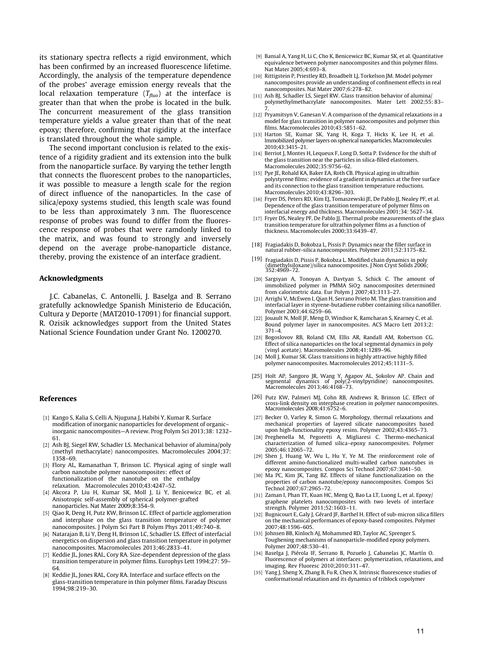<span id="page-11-0"></span>its stationary spectra reflects a rigid environment, which has been confirmed by an increased fluorescence lifetime. Accordingly, the analysis of the temperature dependence of the probes' average emission energy reveals that the local relaxation temperature  $(T_{fluo})$  at the interface is greater than that when the probe is located in the bulk. The concurrent measurement of the glass transition temperature yields a value greater than that of the neat epoxy; therefore, confirming that rigidity at the interface is translated throughout the whole sample.

The second important conclusion is related to the existence of a rigidity gradient and its extension into the bulk from the nanoparticle surface. By varying the tether length that connects the fluorescent probes to the nanoparticles, it was possible to measure a length scale for the region of direct influence of the nanoparticles. In the case of silica/epoxy systems studied, this length scale was found to be less than approximately 3 nm. The fluorescence response of probes was found to differ from the fluorescence response of probes that were ramdonly linked to the matrix, and was found to strongly and inversely depend on the average probe-nanoparticle distance, thereby, proving the existence of an interface gradient.

#### Acknowledgments

J.C. Cabanelas, C. Antonelli, J. Baselga and B. Serrano gratefully acknowledge Spanish Ministerio de Educación, Cultura y Deporte (MAT2010-17091) for financial support. R. Ozisik acknowledges support from the United States National Science Foundation under Grant No. 1200270.

#### References

- [1] Kango S, Kalia S, Celli A, Njuguna J, Habibi Y, Kumar R. Surface modification of inorganic nanoparticles for development of organic– inorganic nanocomposites—A review. Prog Polym Sci 2013;38: 1232– 61.
- [2] Ash BJ, Siegel RW, Schadler LS. Mechanical behavior of alumina/poly (methyl methacrylate) nanocomposites. Macromolecules 2004;37: 1358–69.
- [3] Flory AL, Ramanathan T, Brinson LC. Physical aging of single wall carbon nanotube polymer nanocomposites: effect of functionalization of the nanotube on the enthalpy relaxation. Macromolecules 2010;43:4247–52.
- [4] Akcora P, Liu H, Kumar SK, Moll J, Li Y, Benicewicz BC, et al. Anisotropic self-assembly of spherical polymer-grafted nanoparticles. Nat Mater 2009;8:354–9.
- [5] Qiao R, Deng H, Putz KW, Brinson LC. Effect of particle agglomeration and interphase on the glass transition temperature of polymer nanocomposites. J Polym Sci Part B Polym Phys 2011;49:740–8.
- [6] Natarajan B, Li Y, Deng H, Brinson LC, Schadler LS. Effect of interfacial energetics on dispersion and glass transition temperature in polymer nanocomposites. Macromolecules 2013;46:2833–41.
- [7] Keddie JL, Jones RAL, Cory RA. Size-dependent depression of the glass transition temperature in polymer films. Europhys Lett 1994;27: 59– 64.
- [8] Keddie JL, Jones RAL, Cory RA. Interface and surface effects on the glass-transition temperature in thin polymer films. Faraday Discuss 1994;98:219–30.
- [9] Bansal A, Yang H, Li C, Cho K, Benicewicz BC, Kumar SK, et al. Quantitative equivalence between polymer nanocomposites and thin polymer films. Nat Mater 2005;4:693–8.
- [10] Rittigstein P, Priestley RD, Broadbelt LJ, Torkelson JM. Model polymer nanocomposites provide an understanding of confinement effects in real nanocomposites. Nat Mater 2007;6:278–82.
- [11] Ash BJ, Schadler LS, Siegel RW. Glass transition behavior of alumina/ polymethylmethacrylate nanocomposites. Mater Lett 2002;55: 83–
- 7. [12] Pryamitsyn V, Ganesan V. A comparison of the dynamical relaxations in a model for glass transition in polymer nanocomposites and polymer thin films. Macromolecules 2010;43:5851–62.
- [13] Harton SE, Kumar SK, Yang H, Koga T, Hicks K, Lee H, et al. Immobilized polymer layers on spherical nanoparticles. Macromolecules 2010;43:3415–21.
- [14] Berriot J, Montes H, Lequeux F, Long D, Sotta P. Evidence for the shift of the glass transition near the particles in silica-filled elastomers. Macromolecules 2002;35:9756–62.
- [15] Pye JE, Rohald KA, Baker EA, Roth CB. Physical aging in ultrathin polystyrene films: evidence of a gradient in dynamics at the free surface and its connection to the glass transition temperature reductions. Macromolecules 2010;43:8296–303.
- [16] Fryer DS, Peters RD, Kim EJ, Tomaszewski JE, De Pablo JJ, Nealey PF, et al. Dependence of the glass transition temperature of polymer films on interfacial energy and thickness. Macromolecules 2001;34: 5627–34.
- [17] Fryer DS, Nealey PF, De Pablo JJ. Thermal probe measurements of the glass transition temperature for ultrathin polymer films as a function of thickness. Macromolecules 2000;33:6439–47.
- [18] Fragiadakis D, Bokobza L, Pissis P. Dynamics near the filler surface in natural rubber-silica nanocomposites. Polymer 2011;52:3175–82.
- [19] Fragiadakis D, Pissis P, Bokobza L. Modified chain dynamics in poly (dimethylsiloxane)/silica nanocomposites. J Non Cryst Solids 2006; 352:4969–72.
- [20] Sargsyan A, Tonoyan A, Davtyan S, Schick C. The amount of immobilized polymer in PMMA SiO2 nanocomposites determined from calorimetric data. Eur Polym J 2007;43:3113–27.
- Arrighi V, McEwen I, Qian H, Serrano Prieto M. The glass transition and interfacial layer in styrene-butadiene rubber containing silica nanofiller. Polymer 2003;44:6259–66.
- [22] Jouault N, Moll JF, Meng D, Windsor K, Ramcharan S, Kearney C, et al. Bound polymer layer in nanocomposites. ACS Macro Lett 2013;2: 371–4.
- [23] Bogoslovov RB, Roland CM, Ellis AR, Randall AM, Robertson CG. Effect of silica nanoparticles on the local segmental dynamics in poly (vinyl acetate). Macromolecules 2008;41:1289–96.
- [24] Moll J, Kumar SK. Glass transitions in highly attractive highly filled polymer nanocomposites. Macromolecules 2012;45:1131–5.
- [25] Holt AP, Sangoro JR, Wang Y, Agapov AL, Sokolov AP. Chain and segmental dynamics of poly(2-vinylpyridine) nanocomposites. Macromolecules 2013;46:4168–73.
- [26] Putz KW, Palmeri MJ, Cohn RB, Andrews R, Brinson LC. Effect of cross-link density on interphase creation in polymer nanocomposites. Macromolecules 2008;41:6752–6.
- [27] Becker O, Varley R, Simon G. Morphology, thermal relaxations and mechanical properties of layered silicate nanocomposites based upon high-functionality epoxy resins. Polymer 2002;43:4365–73.
- [28] Preghenella M, Pegoretti A, Migliaresi C. Thermo-mechanical characterization of fumed silica–epoxy nanocomposites. Polymer 2005;46:12065–72.
- [29] Shen J, Huang W, Wu L, Hu Y, Ye M. The reinforcement role of different amino-functionalized multi-walled carbon nanotubes in epoxy nanocomposites. Compos Sci Technol 2007;67:3041–50.
- [30] Ma PC, Kim JK, Tang BZ. Effects of silane functionalization on the properties of carbon nanotube/epoxy nanocomposites. Compos Sci Technol 2007;67:2965–72.
- [31] Zaman I, Phan TT, Kuan HC, Meng Q, Bao La LT, Luong L, et al. Epoxy/ graphene platelets nanocomposites with two levels of interface strength. Polymer 2011;52:1603–11.
- [32] Bugnicourt E, Galy J, Gérard JF, Barthel H. Effect of sub-micron silica fillers on the mechanical performances of epoxy-based composites. Polymer 2007;48:1596–605.
- Johnsen BB, Kinloch AJ, Mohammed RD, Taylor AC, Sprenger S. Toughening mechanisms of nanoparticle-modified epoxy polymers. Polymer 2007;48:530–41.
- [34] Baselga J, Piérola IF, Serrano B, Pozuelo J, Cabanelas JC, Martín O. Fluorescence of polymers at interfaces: polymerization, relaxations, and imaging. Rev Fluoresc 2010;2010:311–47.
- [35] Yang J, Sheng X, Zhang B, Fu R, Chen X. Intrinsic fluorescence studies of conformational relaxation and its dynamics of triblock copolymer